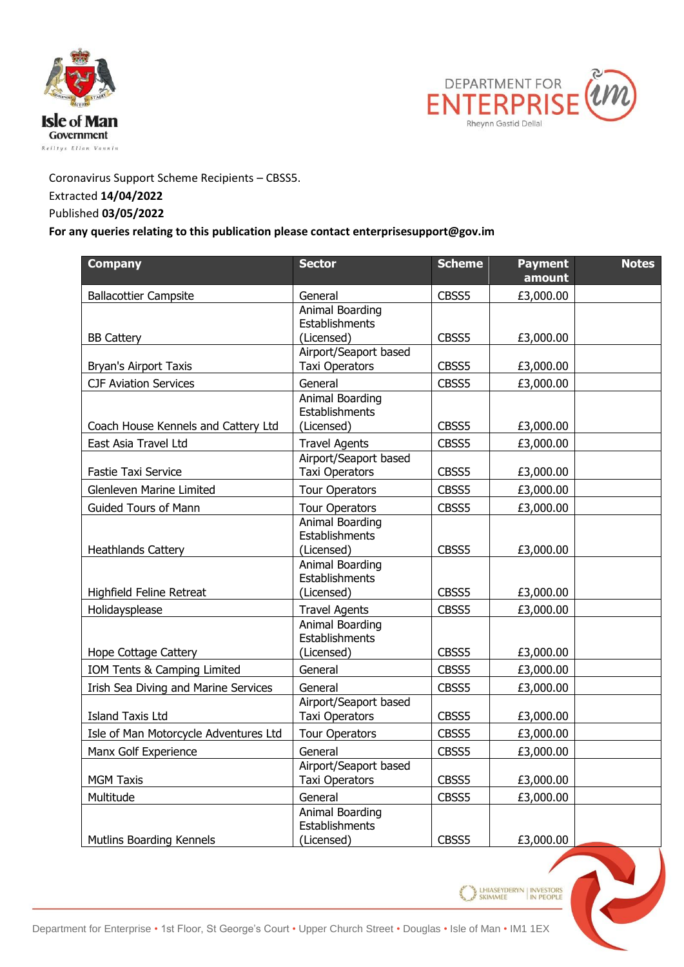



Coronavirus Support Scheme Recipients – CBSS5. Extracted **14/04/2022**

## Published **03/05/2022**

## **For any queries relating to this publication please contact enterprisesupport@gov.im**

| <b>Company</b>                        | <b>Sector</b>                                   | <b>Scheme</b> | <b>Payment</b><br>amount | <b>Notes</b> |
|---------------------------------------|-------------------------------------------------|---------------|--------------------------|--------------|
| <b>Ballacottier Campsite</b>          | General                                         | CBSS5         | £3,000.00                |              |
| <b>BB Cattery</b>                     | Animal Boarding<br>Establishments<br>(Licensed) | CBSS5         | £3,000.00                |              |
| <b>Bryan's Airport Taxis</b>          | Airport/Seaport based<br><b>Taxi Operators</b>  | CBSS5         | £3,000.00                |              |
| <b>CJF Aviation Services</b>          | General                                         | CBSS5         | £3,000.00                |              |
| Coach House Kennels and Cattery Ltd   | Animal Boarding<br>Establishments<br>(Licensed) | CBSS5         | £3,000.00                |              |
| East Asia Travel Ltd                  | <b>Travel Agents</b>                            | CBSS5         | £3,000.00                |              |
| <b>Fastie Taxi Service</b>            | Airport/Seaport based<br><b>Taxi Operators</b>  | CBSS5         | £3,000.00                |              |
| <b>Glenleven Marine Limited</b>       | <b>Tour Operators</b>                           | CBSS5         | £3,000.00                |              |
| <b>Guided Tours of Mann</b>           | <b>Tour Operators</b>                           | CBSS5         | £3,000.00                |              |
| <b>Heathlands Cattery</b>             | Animal Boarding<br>Establishments<br>(Licensed) | CBSS5         | £3,000.00                |              |
| Highfield Feline Retreat              | Animal Boarding<br>Establishments<br>(Licensed) | CBSS5         | £3,000.00                |              |
| Holidaysplease                        | <b>Travel Agents</b>                            | CBSS5         | £3,000.00                |              |
| Hope Cottage Cattery                  | Animal Boarding<br>Establishments<br>(Licensed) | CBSS5         | £3,000.00                |              |
| IOM Tents & Camping Limited           | General                                         | CBSS5         | £3,000.00                |              |
| Irish Sea Diving and Marine Services  | General                                         | CBSS5         | £3,000.00                |              |
| Island Taxis Ltd                      | Airport/Seaport based<br><b>Taxi Operators</b>  | CBSS5         | £3,000.00                |              |
| Isle of Man Motorcycle Adventures Ltd | <b>Tour Operators</b>                           | CBSS5         | £3,000.00                |              |
| Manx Golf Experience                  | General                                         | CBSS5         | £3,000.00                |              |
| <b>MGM Taxis</b>                      | Airport/Seaport based<br><b>Taxi Operators</b>  | CBSS5         | £3,000.00                |              |
| Multitude                             | General                                         | CBSS5         | £3,000.00                |              |
| Mutlins Boarding Kennels              | Animal Boarding<br>Establishments<br>(Licensed) | CBSS5         | £3,000.00                |              |